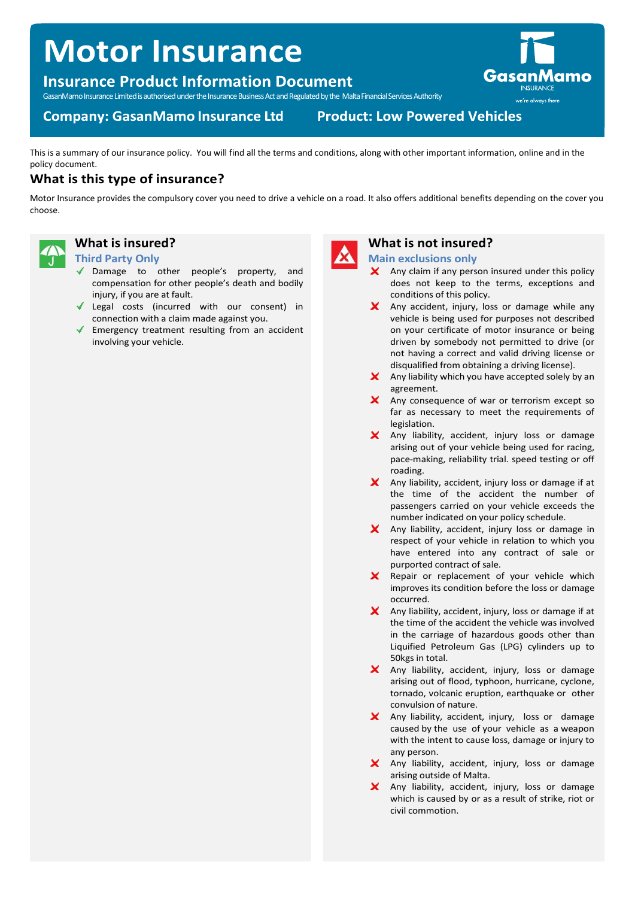# **Motor Insurance**

## **Insurance Product Information Document**

GasanMamo Insurance Limited is authorised under the Insurance Business Act and Regulated by the Malta Financial Services Authority

## **Company: GasanMamo Insurance Ltd**

**Product: Low Powered Vehicles** 

This is a summary of our insurance policy. You will find all the terms and conditions, along with other important information, online and in the policy document.

## **What is this type of insurance?**

Motor Insurance provides the compulsory cover you need to drive a vehicle on a road. It also offers additional benefits depending on the cover you choose.



## **What is insured?**

#### **Third Party Only**

- Damage to other people's property, and compensation for other people's death and bodily injury, if you are at fault.
- Legal costs (incurred with our consent) in connection with a claim made against you.
- Emergency treatment resulting from an accident involving your vehicle.



## **What is not insured?**

**Main exclusions only**

- × Any claim if any person insured under this policy does not keep to the terms, exceptions and conditions of this policy.
- $\mathsf{\times}$  Any accident, injury, loss or damage while any vehicle is being used for purposes not described on your certificate of motor insurance or being driven by somebody not permitted to drive (or not having a correct and valid driving license or disqualified from obtaining a driving license).
- $\mathsf{\times}$  Any liability which you have accepted solely by an agreement.
- X Any consequence of war or terrorism except so far as necessary to meet the requirements of legislation.
- X Any liability, accident, injury loss or damage arising out of your vehicle being used for racing, pace-making, reliability trial. speed testing or off roading.
- $X$  Any liability, accident, injury loss or damage if at the time of the accident the number of passengers carried on your vehicle exceeds the number indicated on your policy schedule.
- X Any liability, accident, injury loss or damage in respect of your vehicle in relation to which you have entered into any contract of sale or purported contract of sale.
- $\boldsymbol{\mathsf{x}}$ Repair or replacement of your vehicle which improves its condition before the loss or damage occurred.
- $\mathsf{\times}$  Any liability, accident, injury, loss or damage if at the time of the accident the vehicle was involved in the carriage of hazardous goods other than Liquified Petroleum Gas (LPG) cylinders up to 50kgs in total.
- X Any liability, accident, injury, loss or damage arising out of flood, typhoon, hurricane, cyclone, tornado, volcanic eruption, earthquake or other convulsion of nature.
- X Any liability, accident, injury, loss or damage caused by the use of your vehicle as a weapon with the intent to cause loss, damage or injury to any person.
- X Any liability, accident, injury, loss or damage arising outside of Malta.
- X Any liability, accident, injury, loss or damage which is caused by or as a result of strike, riot or civil commotion.